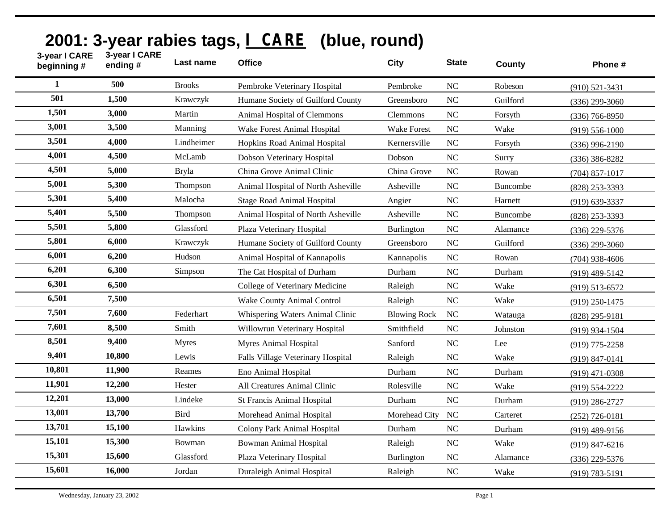| 3-year I CARE<br>beginning # | 3-year I CARE<br>ending# | Last name     | <b>Office</b>                      | <b>City</b>         | <b>State</b>   | <b>County</b> | Phone #            |
|------------------------------|--------------------------|---------------|------------------------------------|---------------------|----------------|---------------|--------------------|
| 1                            | 500                      | <b>Brooks</b> | Pembroke Veterinary Hospital       | Pembroke            | <b>NC</b>      | Robeson       | $(910)$ 521-3431   |
| 501                          | 1,500                    | Krawczyk      | Humane Society of Guilford County  | Greensboro          | N <sub>C</sub> | Guilford      | $(336)$ 299-3060   |
| 1,501                        | 3,000                    | Martin        | Animal Hospital of Clemmons        | <b>Clemmons</b>     | N <sub>C</sub> | Forsyth       | $(336)$ 766-8950   |
| 3,001                        | 3,500                    | Manning       | Wake Forest Animal Hospital        | <b>Wake Forest</b>  | <b>NC</b>      | Wake          | $(919) 556 - 1000$ |
| 3,501                        | 4,000                    | Lindheimer    | Hopkins Road Animal Hospital       | Kernersville        | <b>NC</b>      | Forsyth       | $(336)$ 996-2190   |
| 4,001                        | 4,500                    | McLamb        | Dobson Veterinary Hospital         | Dobson              | NC             | Surry         | $(336)$ 386-8282   |
| 4,501                        | 5,000                    | <b>Bryla</b>  | China Grove Animal Clinic          | China Grove         | <b>NC</b>      | Rowan         | $(704)$ 857-1017   |
| 5,001                        | 5,300                    | Thompson      | Animal Hospital of North Asheville | Asheville           | <b>NC</b>      | Buncombe      | (828) 253-3393     |
| 5,301                        | 5,400                    | Malocha       | <b>Stage Road Animal Hospital</b>  | Angier              | <b>NC</b>      | Harnett       | $(919) 639 - 3337$ |
| 5,401                        | 5,500                    | Thompson      | Animal Hospital of North Asheville | Asheville           | <b>NC</b>      | Buncombe      | (828) 253-3393     |
| 5,501                        | 5,800                    | Glassford     | Plaza Veterinary Hospital          | Burlington          | <b>NC</b>      | Alamance      | $(336)$ 229-5376   |
| 5,801                        | 6,000                    | Krawczyk      | Humane Society of Guilford County  | Greensboro          | $\rm NC$       | Guilford      | $(336)$ 299-3060   |
| 6,001                        | 6,200                    | Hudson        | Animal Hospital of Kannapolis      | Kannapolis          | <b>NC</b>      | Rowan         | $(704)$ 938-4606   |
| 6,201                        | 6,300                    | Simpson       | The Cat Hospital of Durham         | Durham              | <b>NC</b>      | Durham        | $(919)$ 489-5142   |
| 6,301                        | 6,500                    |               | College of Veterinary Medicine     | Raleigh             | <b>NC</b>      | Wake          | $(919)$ 513-6572   |
| 6,501                        | 7,500                    |               | Wake County Animal Control         | Raleigh             | $\rm NC$       | Wake          | $(919)$ 250-1475   |
| 7,501                        | 7,600                    | Federhart     | Whispering Waters Animal Clinic    | <b>Blowing Rock</b> | NC             | Watauga       | $(828)$ 295-9181   |
| 7,601                        | 8,500                    | Smith         | Willowrun Veterinary Hospital      | Smithfield          | NC             | Johnston      | $(919)$ 934-1504   |
| 8,501                        | 9,400                    | <b>Myres</b>  | <b>Myres Animal Hospital</b>       | Sanford             | <b>NC</b>      | Lee           | $(919)$ 775-2258   |
| 9,401                        | 10,800                   | Lewis         | Falls Village Veterinary Hospital  | Raleigh             | <b>NC</b>      | Wake          | $(919) 847 - 0141$ |
| 10,801                       | 11,900                   | Reames        | Eno Animal Hospital                | Durham              | N <sub>C</sub> | Durham        | $(919)$ 471-0308   |
| 11,901                       | 12,200                   | Hester        | All Creatures Animal Clinic        | Rolesville          | NC             | Wake          | $(919) 554 - 2222$ |
| 12,201                       | 13,000                   | Lindeke       | <b>St Francis Animal Hospital</b>  | Durham              | N <sub>C</sub> | Durham        | $(919)$ 286-2727   |
| 13,001                       | 13,700                   | <b>Bird</b>   | Morehead Animal Hospital           | Morehead City       | <b>NC</b>      | Carteret      | $(252)$ 726-0181   |
| 13,701                       | 15,100                   | Hawkins       | <b>Colony Park Animal Hospital</b> | Durham              | <b>NC</b>      | Durham        | $(919)$ 489-9156   |
| 15,101                       | 15,300                   | Bowman        | <b>Bowman Animal Hospital</b>      | Raleigh             | <b>NC</b>      | Wake          | $(919) 847 - 6216$ |
| 15,301                       | 15,600                   | Glassford     | Plaza Veterinary Hospital          | <b>Burlington</b>   | <b>NC</b>      | Alamance      | $(336)$ 229-5376   |
| 15,601                       | 16,000                   | Jordan        | Duraleigh Animal Hospital          | Raleigh             | <b>NC</b>      | Wake          | $(919) 783 - 5191$ |

## **2001: 3-year rabies tags, I CARE (blue, round)**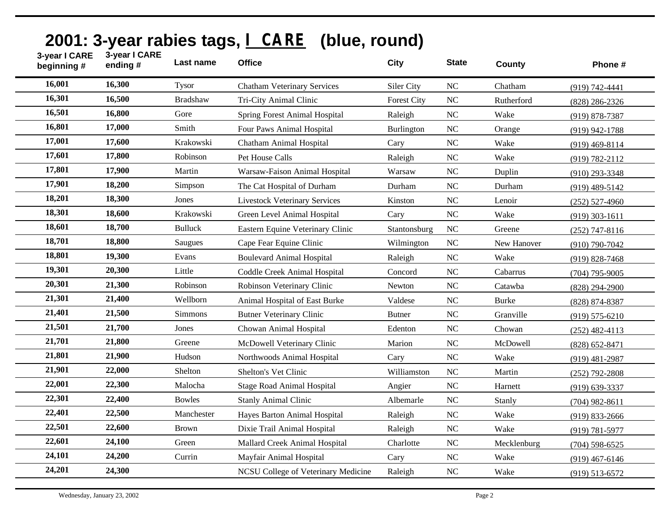| 16,001<br>16,300<br><b>Tysor</b><br>Siler City<br>N <sub>C</sub><br><b>Chatham Veterinary Services</b><br>Chatham<br>16,301<br>16,500<br><b>Bradshaw</b><br><b>NC</b><br>Tri-City Animal Clinic<br><b>Forest City</b><br>Rutherford<br>16,501<br>16,800<br>Gore<br><b>NC</b><br><b>Spring Forest Animal Hospital</b><br>Raleigh<br>Wake<br>16,801<br>17,000<br>Smith<br>NC<br>Four Paws Animal Hospital<br><b>Burlington</b><br>Orange | (919) 742-4441<br>$(828)$ 286-2326<br>$(919) 878 - 7387$<br>$(919)$ 942-1788<br>$(919)$ 469-8114 |
|----------------------------------------------------------------------------------------------------------------------------------------------------------------------------------------------------------------------------------------------------------------------------------------------------------------------------------------------------------------------------------------------------------------------------------------|--------------------------------------------------------------------------------------------------|
|                                                                                                                                                                                                                                                                                                                                                                                                                                        |                                                                                                  |
|                                                                                                                                                                                                                                                                                                                                                                                                                                        |                                                                                                  |
|                                                                                                                                                                                                                                                                                                                                                                                                                                        |                                                                                                  |
|                                                                                                                                                                                                                                                                                                                                                                                                                                        |                                                                                                  |
| 17,001<br>17,600<br>Krakowski<br><b>NC</b><br>Chatham Animal Hospital<br>Wake<br>Cary                                                                                                                                                                                                                                                                                                                                                  |                                                                                                  |
| 17,601<br>17,800<br>Robinson<br>Pet House Calls<br>$\rm NC$<br>Wake<br>Raleigh                                                                                                                                                                                                                                                                                                                                                         | $(919) 782 - 2112$                                                                               |
| 17,801<br>17,900<br>Martin<br><b>NC</b><br>Warsaw-Faison Animal Hospital<br>Warsaw<br>Duplin                                                                                                                                                                                                                                                                                                                                           | $(910)$ 293-3348                                                                                 |
| 17,901<br>18,200<br>Simpson<br>$\rm NC$<br>The Cat Hospital of Durham<br>Durham<br>Durham                                                                                                                                                                                                                                                                                                                                              | $(919)$ 489-5142                                                                                 |
| 18,201<br>18,300<br><b>NC</b><br>Jones<br><b>Livestock Veterinary Services</b><br>Kinston<br>Lenoir                                                                                                                                                                                                                                                                                                                                    | $(252)$ 527-4960                                                                                 |
| 18,301<br>18,600<br>Krakowski<br>NC<br>Green Level Animal Hospital<br>Wake<br>Cary                                                                                                                                                                                                                                                                                                                                                     | $(919)$ 303-1611                                                                                 |
| 18,601<br>18,700<br><b>Bulluck</b><br><b>NC</b><br>Eastern Equine Veterinary Clinic<br>Stantonsburg<br>Greene                                                                                                                                                                                                                                                                                                                          | $(252)$ 747-8116                                                                                 |
| 18,701<br>18,800<br>Saugues<br>$\rm NC$<br>Cape Fear Equine Clinic<br>Wilmington<br>New Hanover                                                                                                                                                                                                                                                                                                                                        | $(910)$ 790-7042                                                                                 |
| 18,801<br>19,300<br><b>NC</b><br>Evans<br><b>Boulevard Animal Hospital</b><br>Wake<br>Raleigh                                                                                                                                                                                                                                                                                                                                          | $(919) 828 - 7468$                                                                               |
| 19,301<br>20,300<br>Little<br><b>NC</b><br>Coddle Creek Animal Hospital<br>Concord<br>Cabarrus                                                                                                                                                                                                                                                                                                                                         | $(704)$ 795-9005                                                                                 |
| 20,301<br>21,300<br>Robinson<br><b>NC</b><br>Robinson Veterinary Clinic<br>Catawba<br>Newton                                                                                                                                                                                                                                                                                                                                           | $(828) 294 - 2900$                                                                               |
| 21,301<br>21,400<br>Wellborn<br>$\rm NC$<br>Animal Hospital of East Burke<br>Valdese<br><b>Burke</b>                                                                                                                                                                                                                                                                                                                                   | $(828) 874 - 8387$                                                                               |
| 21,401<br>21,500<br><b>Simmons</b><br><b>NC</b><br><b>Butner Veterinary Clinic</b><br><b>Butner</b><br>Granville                                                                                                                                                                                                                                                                                                                       | $(919) 575 - 6210$                                                                               |
| 21,501<br>21,700<br>Jones<br>$\rm NC$<br>Chowan Animal Hospital<br>Chowan<br>Edenton                                                                                                                                                                                                                                                                                                                                                   | $(252)$ 482-4113                                                                                 |
| 21,701<br>21,800<br>N <sub>C</sub><br>Greene<br>McDowell Veterinary Clinic<br>Marion<br>McDowell                                                                                                                                                                                                                                                                                                                                       | $(828) 652 - 8471$                                                                               |
| 21,801<br>21,900<br>Hudson<br><b>NC</b><br>Northwoods Animal Hospital<br>Wake<br>Cary                                                                                                                                                                                                                                                                                                                                                  | $(919)$ 481-2987                                                                                 |
| 21,901<br>22,000<br>Shelton<br>Williamston<br><b>NC</b><br>Shelton's Vet Clinic<br>Martin                                                                                                                                                                                                                                                                                                                                              | $(252)$ 792-2808                                                                                 |
| 22,001<br>22,300<br>Malocha<br>$\rm NC$<br>Angier<br><b>Stage Road Animal Hospital</b><br>Harnett                                                                                                                                                                                                                                                                                                                                      | $(919) 639 - 3337$                                                                               |
| 22,301<br>22,400<br><b>Bowles</b><br>$\rm NC$<br><b>Stanly Animal Clinic</b><br>Albemarle<br>Stanly                                                                                                                                                                                                                                                                                                                                    | $(704)$ 982-8611                                                                                 |
| 22,401<br>22,500<br>Manchester<br>$\rm NC$<br>Wake<br>Hayes Barton Animal Hospital<br>Raleigh                                                                                                                                                                                                                                                                                                                                          | $(919)$ 833-2666                                                                                 |
| 22,501<br>22,600<br><b>Brown</b><br><b>NC</b><br>Dixie Trail Animal Hospital<br>Wake<br>Raleigh                                                                                                                                                                                                                                                                                                                                        | $(919) 781 - 5977$                                                                               |
| 22,601<br>24,100<br>Green<br><b>NC</b><br>Mallard Creek Animal Hospital<br>Charlotte<br>Mecklenburg                                                                                                                                                                                                                                                                                                                                    | $(704)$ 598-6525                                                                                 |
| 24,101<br>24,200<br>Currin<br>NC<br>Wake<br>Mayfair Animal Hospital<br>Cary                                                                                                                                                                                                                                                                                                                                                            | $(919)$ 467-6146                                                                                 |
| 24,201<br>24,300<br>NCSU College of Veterinary Medicine<br>NC<br>Wake<br>Raleigh                                                                                                                                                                                                                                                                                                                                                       | $(919) 513 - 6572$                                                                               |

## **2001: 3-year rabies tags, I CARE (blue, round)**